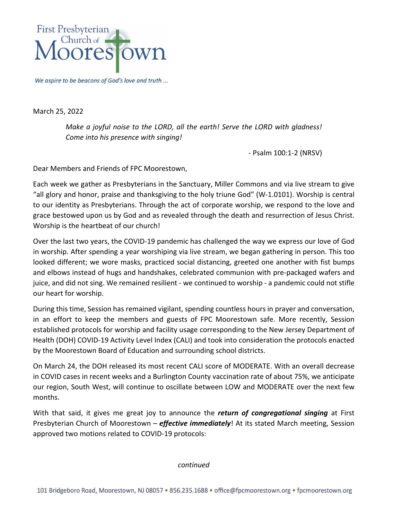

We aspire to be beacons of God's love and truth ...

March 25, 2022

*Make a joyful noise to the LORD, all the earth! Serve the LORD with gladness! Come into his presence with singing!*

- Psalm 100:1-2 (NRSV)

Dear Members and Friends of FPC Moorestown,

Each week we gather as Presbyterians in the Sanctuary, Miller Commons and via live stream to give "all glory and honor, praise and thanksgiving to the holy triune God" (W-1.0101). Worship is central to our identity as Presbyterians. Through the act of corporate worship, we respond to the love and grace bestowed upon us by God and as revealed through the death and resurrection of Jesus Christ. Worship is the heartbeat of our church!

Over the last two years, the COVID-19 pandemic has challenged the way we express our love of God in worship. After spending a year worshiping via live stream, we began gathering in person. This too looked different; we wore masks, practiced social distancing, greeted one another with fist bumps and elbows instead of hugs and handshakes, celebrated communion with pre-packaged wafers and juice, and did not sing. We remained resilient - we continued to worship - a pandemic could not stifle our heart for worship.

During this time, Session has remained vigilant, spending countless hours in prayer and conversation, in an effort to keep the members and guests of FPC Moorestown safe. More recently, Session established protocols for worship and facility usage corresponding to the New Jersey Department of Health (DOH) COVID-19 Activity Level Index (CALI) and took into consideration the protocols enacted by the Moorestown Board of Education and surrounding school districts.

On March 24, the DOH released its most recent CALI score of MODERATE. With an overall decrease in COVID cases in recent weeks and a Burlington County vaccination rate of about 75%, we anticipate our region, South West, will continue to oscillate between LOW and MODERATE over the next few months.

With that said, it gives me great joy to announce the *return of congregational singing* at First Presbyterian Church of Moorestown – *effective immediately*! At its stated March meeting, Session approved two motions related to COVID-19 protocols:

*continued*